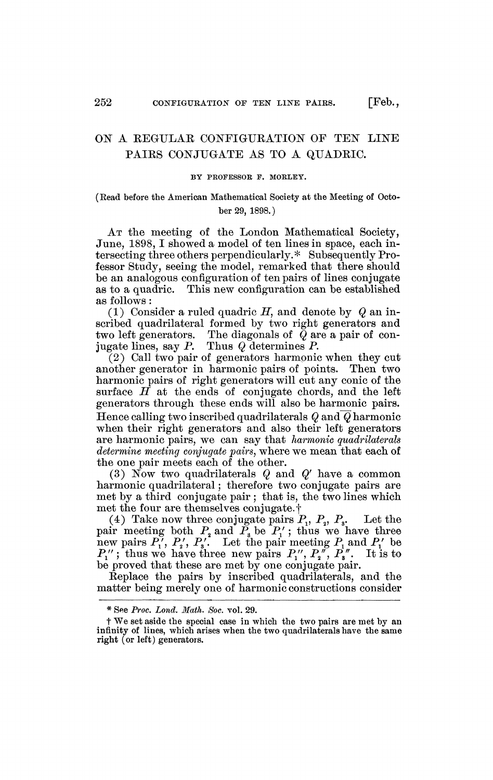## ON A KEGULAB, CONFIGURATION OF TEN LINE PAIRS CONJUGATE AS TO A QUADRIC.

## BY PROFESSOR F. MORLEY.

## (Read before the American Mathematical Society at the Meeting of October 29, 1898.)

AT the meeting of the London Mathematical Society, June, 1898, I showed a model of ten lines in space, each intersecting three others perpendicularly.\* Subsequently Professor Study, seeing the model, remarked that there should be an analogous configuration of ten pairs of lines conjugate as to a quadric. This new configuration can be established as follows :

(1) Consider a ruled quadric *H,* and denote by *Q* an inscribed quadrilateral formed by two right generators and two left generators. The diagonals of *Q* are a pair of conjugate lines, say P. Thus *Q* determines P.

(2) Call two pair of generators harmpnic when they cut another generator in harmonic pairs of points. Then two harmonic pairs of right generators will cut any conic of the surface  $H$  at the ends of conjugate chords, and the left generators through these ends will also be harmonic pairs. Hence calling two inscribed quadrilaterals *Q* and *Q* harmonic when their right generators and also their left generators are harmonic pairs, we can say that *harmonic quadrilaterals determine meeting conjugate pairs,* where we mean that each of the one pair meets each of the other.

(3) Now two quadrilaterals *Q* and *Q'* have a common harmonic quadrilateral ; therefore two conjugate pairs are met by a third conjugate pair ; that is, the two lines which met the four are themselves conjugate, f

(4) Take now three conjugate pairs  $P_1$ ,  $P_2$ ,  $P_3$ . Let the pair meeting both  $P_2$  and  $P_3$  be  $P_1'$ ; thus we have three new pairs  $P_1$ ',  $P_2$ ',  $P_3$ '. Let the pair meeting  $P_1$  and  $P_1$ ' be  $P''_1$ ; thus we have three new pairs  $P''_1$ ,  $P''_2$ ,  $P''_3$ . It is to be proved that these are met by one conjugate pair.

Replace the pairs by inscribed quadrilaterals, and the matter being merely one of harmonic constructions consider

<sup>\*</sup> See *Proe. Lond. Math. Soc.* vol. 29.

t We set aside the special case in which the two pairs are met by an infinity of lines, which arises when the two quadrilaterals have the same right (or left) generators.